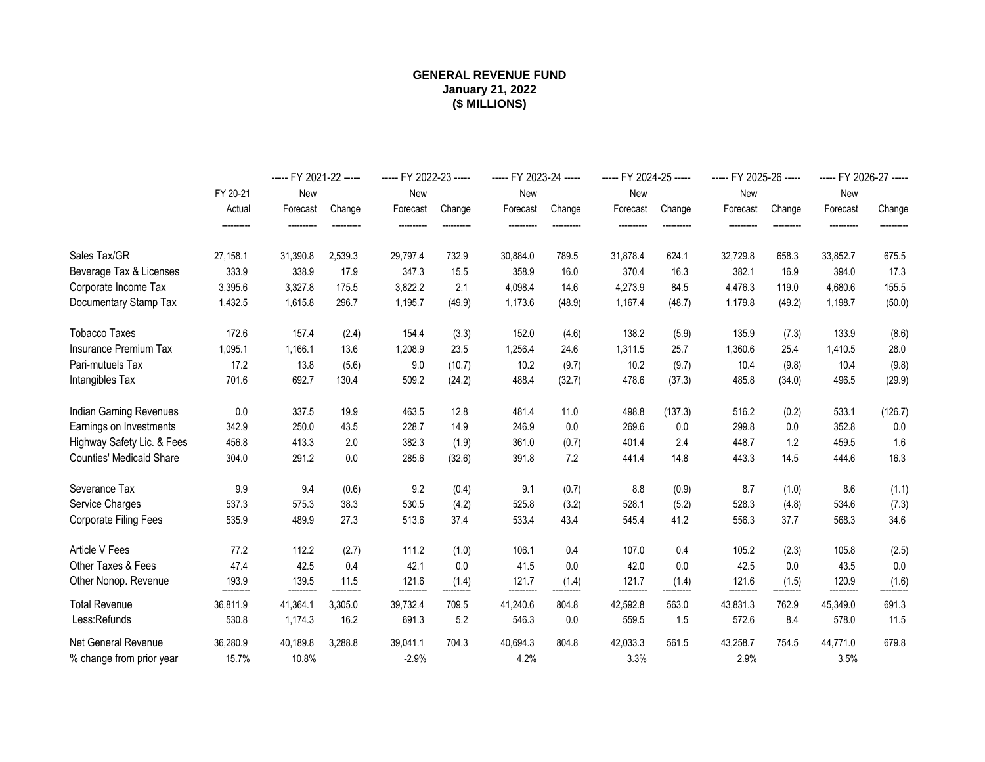#### **GENERAL REVENUE FUND (\$ MILLIONS) January 21, 2022**

|                                 |                     | ----- FY 2021-22 ----- |         | ----- FY 2022-23 ----- |        | ----- FY 2023-24 ----- |        | ----- FY 2024-25 ----- |         | ----- FY 2025-26 ----- |        | ----- FY 2026-27 ----- |         |
|---------------------------------|---------------------|------------------------|---------|------------------------|--------|------------------------|--------|------------------------|---------|------------------------|--------|------------------------|---------|
|                                 | FY 20-21            | New                    |         | New                    |        | New                    |        | New                    |         | New                    |        | New                    |         |
|                                 | Actual              | Forecast               | Change  | Forecast               | Change | Forecast               | Change | Forecast               | Change  | Forecast               | Change | Forecast               | Change  |
|                                 |                     |                        |         |                        |        |                        |        |                        |         |                        |        |                        |         |
| Sales Tax/GR                    | 27,158.1            | 31,390.8               | 2,539.3 | 29,797.4               | 732.9  | 30,884.0               | 789.5  | 31,878.4               | 624.1   | 32,729.8               | 658.3  | 33,852.7               | 675.5   |
| Beverage Tax & Licenses         | 333.9               | 338.9                  | 17.9    | 347.3                  | 15.5   | 358.9                  | 16.0   | 370.4                  | 16.3    | 382.1                  | 16.9   | 394.0                  | 17.3    |
| Corporate Income Tax            | 3,395.6             | 3,327.8                | 175.5   | 3,822.2                | 2.1    | 4,098.4                | 14.6   | 4,273.9                | 84.5    | 4,476.3                | 119.0  | 4,680.6                | 155.5   |
| Documentary Stamp Tax           | 1,432.5             | 1,615.8                | 296.7   | 1,195.7                | (49.9) | 1,173.6                | (48.9) | 1,167.4                | (48.7)  | 1,179.8                | (49.2) | 1,198.7                | (50.0)  |
| <b>Tobacco Taxes</b>            | 172.6               | 157.4                  | (2.4)   | 154.4                  | (3.3)  | 152.0                  | (4.6)  | 138.2                  | (5.9)   | 135.9                  | (7.3)  | 133.9                  | (8.6)   |
| Insurance Premium Tax           | 1,095.1             | 1,166.1                | 13.6    | 1,208.9                | 23.5   | 1,256.4                | 24.6   | 1,311.5                | 25.7    | 1,360.6                | 25.4   | 1,410.5                | 28.0    |
| Pari-mutuels Tax                | 17.2                | 13.8                   | (5.6)   | 9.0                    | (10.7) | 10.2                   | (9.7)  | 10.2                   | (9.7)   | 10.4                   | (9.8)  | 10.4                   | (9.8)   |
| Intangibles Tax                 | 701.6               | 692.7                  | 130.4   | 509.2                  | (24.2) | 488.4                  | (32.7) | 478.6                  | (37.3)  | 485.8                  | (34.0) | 496.5                  | (29.9)  |
| Indian Gaming Revenues          | $0.0\,$             | 337.5                  | 19.9    | 463.5                  | 12.8   | 481.4                  | 11.0   | 498.8                  | (137.3) | 516.2                  | (0.2)  | 533.1                  | (126.7) |
| Earnings on Investments         | 342.9               | 250.0                  | 43.5    | 228.7                  | 14.9   | 246.9                  | 0.0    | 269.6                  | 0.0     | 299.8                  | 0.0    | 352.8                  | 0.0     |
| Highway Safety Lic. & Fees      | 456.8               | 413.3                  | 2.0     | 382.3                  | (1.9)  | 361.0                  | (0.7)  | 401.4                  | 2.4     | 448.7                  | 1.2    | 459.5                  | $1.6$   |
| <b>Counties' Medicaid Share</b> | 304.0               | 291.2                  | 0.0     | 285.6                  | (32.6) | 391.8                  | 7.2    | 441.4                  | 14.8    | 443.3                  | 14.5   | 444.6                  | 16.3    |
| Severance Tax                   | 9.9                 | 9.4                    | (0.6)   | 9.2                    | (0.4)  | 9.1                    | (0.7)  | 8.8                    | (0.9)   | 8.7                    | (1.0)  | 8.6                    | (1.1)   |
| Service Charges                 | 537.3               | 575.3                  | 38.3    | 530.5                  | (4.2)  | 525.8                  | (3.2)  | 528.1                  | (5.2)   | 528.3                  | (4.8)  | 534.6                  | (7.3)   |
| Corporate Filing Fees           | 535.9               | 489.9                  | 27.3    | 513.6                  | 37.4   | 533.4                  | 43.4   | 545.4                  | 41.2    | 556.3                  | 37.7   | 568.3                  | 34.6    |
| <b>Article V Fees</b>           | 77.2                | 112.2                  | (2.7)   | 111.2                  | (1.0)  | 106.1                  | 0.4    | 107.0                  | 0.4     | 105.2                  | (2.3)  | 105.8                  | (2.5)   |
| Other Taxes & Fees              | 47.4                | 42.5                   | 0.4     | 42.1                   | 0.0    | 41.5                   | 0.0    | 42.0                   | 0.0     | 42.5                   | 0.0    | 43.5                   | 0.0     |
| Other Nonop. Revenue            | 193.9<br>---------- | 139.5                  | 11.5    | 121.6                  | (1.4)  | 121.7                  | (1.4)  | 121.7                  | (1.4)   | 121.6                  | (1.5)  | 120.9                  | (1.6)   |
| <b>Total Revenue</b>            | 36,811.9            | 41,364.1               | 3,305.0 | 39,732.4               | 709.5  | 41,240.6               | 804.8  | 42,592.8               | 563.0   | 43,831.3               | 762.9  | 45,349.0               | 691.3   |
| Less:Refunds                    | 530.8               | 1,174.3                | 16.2    | 691.3                  | 5.2    | 546.3                  | 0.0    | 559.5                  | 1.5     | 572.6                  | 8.4    | 578.0                  | 11.5    |
| Net General Revenue             | 36,280.9            | 40,189.8               | 3,288.8 | 39,041.1               | 704.3  | 40,694.3               | 804.8  | 42,033.3               | 561.5   | 43,258.7               | 754.5  | 44,771.0               | 679.8   |
| % change from prior year        | 15.7%               | 10.8%                  |         | $-2.9%$                |        | 4.2%                   |        | 3.3%                   |         | 2.9%                   |        | 3.5%                   |         |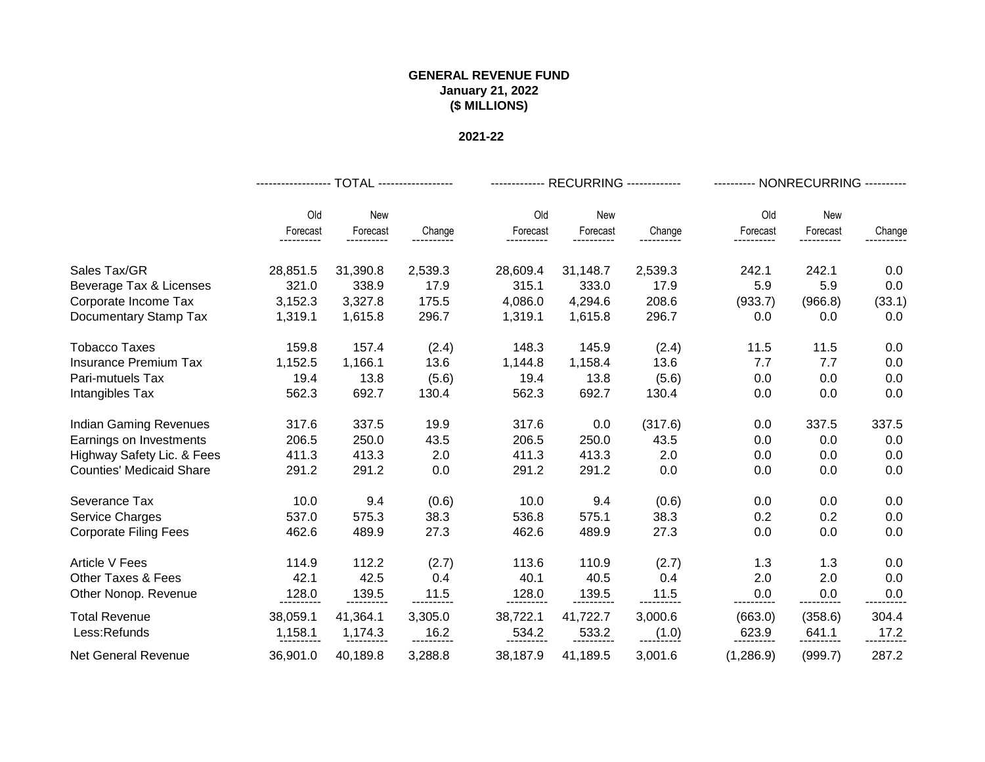|                                 | ------------------ TOTAL ------------------ |          |         |          | ------------- RECURRING ------------- |         | --------- NONRECURRING ---------- |          |        |  |
|---------------------------------|---------------------------------------------|----------|---------|----------|---------------------------------------|---------|-----------------------------------|----------|--------|--|
|                                 | Old                                         | New      |         | Old      | New                                   |         | Old                               | New      |        |  |
|                                 | Forecast                                    | Forecast | Change  | Forecast | Forecast                              | Change  | Forecast                          | Forecast | Change |  |
| Sales Tax/GR                    | 28,851.5                                    | 31,390.8 | 2,539.3 | 28,609.4 | 31,148.7                              | 2,539.3 | 242.1                             | 242.1    | 0.0    |  |
| Beverage Tax & Licenses         | 321.0                                       | 338.9    | 17.9    | 315.1    | 333.0                                 | 17.9    | 5.9                               | 5.9      | 0.0    |  |
| Corporate Income Tax            | 3,152.3                                     | 3,327.8  | 175.5   | 4,086.0  | 4,294.6                               | 208.6   | (933.7)                           | (966.8)  | (33.1) |  |
| Documentary Stamp Tax           | 1,319.1                                     | 1,615.8  | 296.7   | 1,319.1  | 1,615.8                               | 296.7   | 0.0                               | 0.0      | 0.0    |  |
| Tobacco Taxes                   | 159.8                                       | 157.4    | (2.4)   | 148.3    | 145.9                                 | (2.4)   | 11.5                              | 11.5     | 0.0    |  |
| <b>Insurance Premium Tax</b>    | 1,152.5                                     | 1,166.1  | 13.6    | 1,144.8  | 1,158.4                               | 13.6    | 7.7                               | 7.7      | 0.0    |  |
| Pari-mutuels Tax                | 19.4                                        | 13.8     | (5.6)   | 19.4     | 13.8                                  | (5.6)   | 0.0                               | 0.0      | 0.0    |  |
| Intangibles Tax                 | 562.3                                       | 692.7    | 130.4   | 562.3    | 692.7                                 | 130.4   | 0.0                               | 0.0      | 0.0    |  |
| <b>Indian Gaming Revenues</b>   | 317.6                                       | 337.5    | 19.9    | 317.6    | 0.0                                   | (317.6) | 0.0                               | 337.5    | 337.5  |  |
| Earnings on Investments         | 206.5                                       | 250.0    | 43.5    | 206.5    | 250.0                                 | 43.5    | 0.0                               | 0.0      | 0.0    |  |
| Highway Safety Lic. & Fees      | 411.3                                       | 413.3    | 2.0     | 411.3    | 413.3                                 | 2.0     | 0.0                               | 0.0      | 0.0    |  |
| <b>Counties' Medicaid Share</b> | 291.2                                       | 291.2    | 0.0     | 291.2    | 291.2                                 | 0.0     | 0.0                               | 0.0      | 0.0    |  |
| Severance Tax                   | 10.0                                        | 9.4      | (0.6)   | 10.0     | 9.4                                   | (0.6)   | 0.0                               | 0.0      | 0.0    |  |
| Service Charges                 | 537.0                                       | 575.3    | 38.3    | 536.8    | 575.1                                 | 38.3    | 0.2                               | 0.2      | 0.0    |  |
| <b>Corporate Filing Fees</b>    | 462.6                                       | 489.9    | 27.3    | 462.6    | 489.9                                 | 27.3    | 0.0                               | 0.0      | 0.0    |  |
| <b>Article V Fees</b>           | 114.9                                       | 112.2    | (2.7)   | 113.6    | 110.9                                 | (2.7)   | 1.3                               | 1.3      | 0.0    |  |
| <b>Other Taxes &amp; Fees</b>   | 42.1                                        | 42.5     | 0.4     | 40.1     | 40.5                                  | 0.4     | 2.0                               | 2.0      | 0.0    |  |
| Other Nonop. Revenue            | 128.0                                       | 139.5    | 11.5    |          | -139.5<br>-----------                 | 11.5    | 0.0                               | 0.0      | 0.0    |  |
| <b>Total Revenue</b>            | 38,059.1                                    | 41,364.1 | 3,305.0 | 38,722.1 | 41,722.7                              | 3,000.6 | (663.0)                           | (358.6)  | 304.4  |  |
| Less:Refunds                    | 1,158.1                                     | 1,174.3  | 16.2    | 534.2    | 533.2                                 | (1.0)   | 623.9                             | 641.1    | 17.2   |  |
| <b>Net General Revenue</b>      | 36,901.0                                    | 40,189.8 | 3,288.8 | 38,187.9 | 41,189.5                              | 3,001.6 | (1,286.9)                         | (999.7)  | 287.2  |  |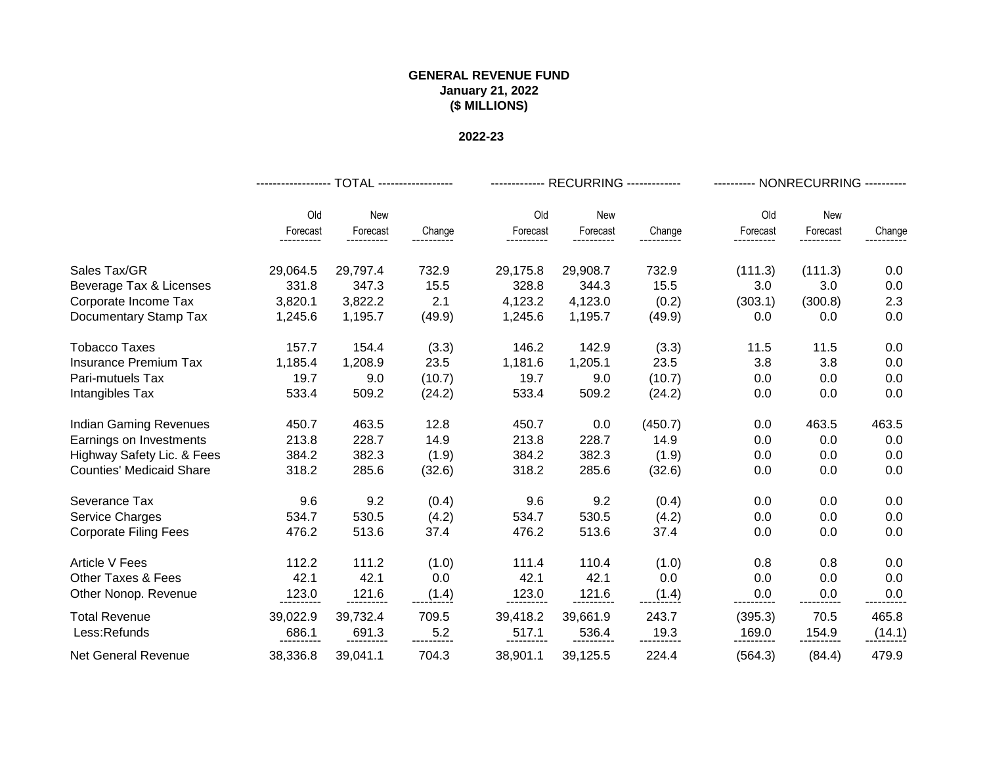|                                 |               | ----------------- TOTAL ----------------- |                        |          | ------------- RECURRING ------------- |         | --------- NONRECURRING ---------- |            |        |  |
|---------------------------------|---------------|-------------------------------------------|------------------------|----------|---------------------------------------|---------|-----------------------------------|------------|--------|--|
|                                 | Old           | <b>New</b>                                |                        | Old      | <b>New</b>                            |         | Old                               | <b>New</b> |        |  |
|                                 | Forecast<br>. | Forecast                                  | Change                 | Forecast | Forecast                              | Change  | Forecast                          | Forecast   | Change |  |
| Sales Tax/GR                    | 29,064.5      | 29,797.4                                  | 732.9                  | 29,175.8 | 29,908.7                              | 732.9   | (111.3)                           | (111.3)    | 0.0    |  |
| Beverage Tax & Licenses         | 331.8         | 347.3                                     | 15.5                   | 328.8    | 344.3                                 | 15.5    | 3.0                               | 3.0        | 0.0    |  |
| Corporate Income Tax            | 3,820.1       | 3,822.2                                   | 2.1                    | 4,123.2  | 4,123.0                               | (0.2)   | (303.1)                           | (300.8)    | 2.3    |  |
| Documentary Stamp Tax           | 1,245.6       | 1,195.7                                   | (49.9)                 | 1,245.6  | 1,195.7                               | (49.9)  | 0.0                               | 0.0        | 0.0    |  |
| <b>Tobacco Taxes</b>            | 157.7         | 154.4                                     | (3.3)                  | 146.2    | 142.9                                 | (3.3)   | 11.5                              | 11.5       | 0.0    |  |
| <b>Insurance Premium Tax</b>    | 1,185.4       | 1,208.9                                   | 23.5                   | 1,181.6  | 1,205.1                               | 23.5    | 3.8                               | 3.8        | 0.0    |  |
| Pari-mutuels Tax                | 19.7          | 9.0                                       | (10.7)                 | 19.7     | 9.0                                   | (10.7)  | 0.0                               | 0.0        | 0.0    |  |
| Intangibles Tax                 | 533.4         | 509.2                                     | (24.2)                 | 533.4    | 509.2                                 | (24.2)  | 0.0                               | 0.0        | 0.0    |  |
| <b>Indian Gaming Revenues</b>   | 450.7         | 463.5                                     | 12.8                   | 450.7    | 0.0                                   | (450.7) | 0.0                               | 463.5      | 463.5  |  |
| Earnings on Investments         | 213.8         | 228.7                                     | 14.9                   | 213.8    | 228.7                                 | 14.9    | 0.0                               | 0.0        | 0.0    |  |
| Highway Safety Lic. & Fees      | 384.2         | 382.3                                     | (1.9)                  | 384.2    | 382.3                                 | (1.9)   | 0.0                               | 0.0        | 0.0    |  |
| <b>Counties' Medicaid Share</b> | 318.2         | 285.6                                     | (32.6)                 | 318.2    | 285.6                                 | (32.6)  | 0.0                               | 0.0        | 0.0    |  |
| Severance Tax                   | 9.6           | 9.2                                       | (0.4)                  | 9.6      | 9.2                                   | (0.4)   | 0.0                               | 0.0        | 0.0    |  |
| <b>Service Charges</b>          | 534.7         | 530.5                                     | (4.2)                  | 534.7    | 530.5                                 | (4.2)   | 0.0                               | 0.0        | 0.0    |  |
| <b>Corporate Filing Fees</b>    | 476.2         | 513.6                                     | 37.4                   | 476.2    | 513.6                                 | 37.4    | 0.0                               | 0.0        | 0.0    |  |
| <b>Article V Fees</b>           | 112.2         | 111.2                                     | (1.0)                  | 111.4    | 110.4                                 | (1.0)   | 0.8                               | 0.8        | 0.0    |  |
| <b>Other Taxes &amp; Fees</b>   | 42.1          | 42.1                                      | 0.0                    | 42.1     | 42.1                                  | 0.0     | 0.0                               | 0.0        | 0.0    |  |
| Other Nonop. Revenue            | 123.0         | <u> 121.6 .</u><br>-----------            | (1.4)                  |          | <u>121.6</u><br>-----------           | (1.4)   | 0.0                               | 0.0        | 0.0    |  |
| <b>Total Revenue</b>            | 39,022.9      | 39,732.4                                  | 709.5                  | 39,418.2 | 39,661.9                              | 243.7   | (395.3)                           | 70.5       | 465.8  |  |
| Less:Refunds                    | 686.1         | 691.3                                     | ____5.2<br>----------- | 517.1    | 536.4                                 | 19.3    | 169.0                             | 154.9      | (14.1) |  |
| <b>Net General Revenue</b>      | 38,336.8      | 39,041.1                                  | 704.3                  | 38,901.1 | 39,125.5                              | 224.4   | (564.3)                           | (84.4)     | 479.9  |  |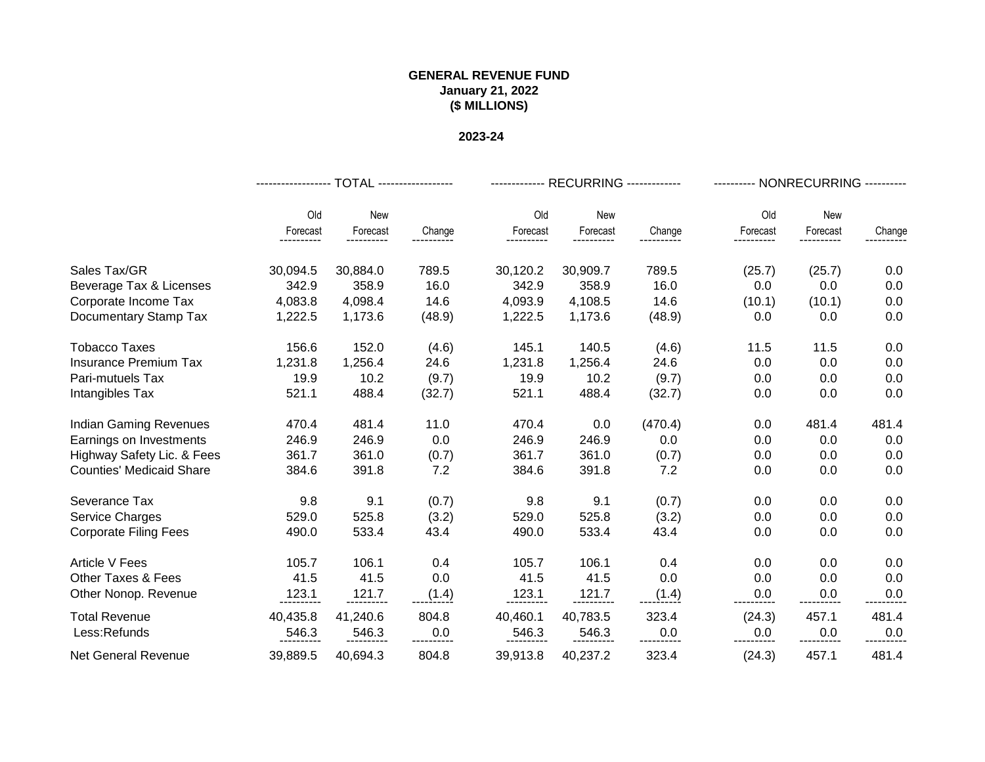|                                 |                    | ----------------- TOTAL ----------------- |        |                        | ------------- RECURRING ------------- |         | --------- NONRECURRING ---------- |                        |        |  |
|---------------------------------|--------------------|-------------------------------------------|--------|------------------------|---------------------------------------|---------|-----------------------------------|------------------------|--------|--|
|                                 | Old                | New                                       |        | Old                    | <b>New</b>                            |         | Old                               | <b>New</b>             |        |  |
|                                 | Forecast<br>.      | Forecast                                  | Change | Forecast<br>---------- | Forecast                              | Change  | Forecast                          | Forecast<br>---------- | Change |  |
| Sales Tax/GR                    | 30,094.5           | 30,884.0                                  | 789.5  | 30,120.2               | 30,909.7                              | 789.5   | (25.7)                            | (25.7)                 | 0.0    |  |
| Beverage Tax & Licenses         | 342.9              | 358.9                                     | 16.0   | 342.9                  | 358.9                                 | 16.0    | 0.0                               | 0.0                    | 0.0    |  |
| Corporate Income Tax            | 4,083.8            | 4,098.4                                   | 14.6   | 4,093.9                | 4,108.5                               | 14.6    | (10.1)                            | (10.1)                 | 0.0    |  |
| Documentary Stamp Tax           | 1,222.5            | 1,173.6                                   | (48.9) | 1,222.5                | 1,173.6                               | (48.9)  | 0.0                               | 0.0                    | 0.0    |  |
| <b>Tobacco Taxes</b>            | 156.6              | 152.0                                     | (4.6)  | 145.1                  | 140.5                                 | (4.6)   | 11.5                              | 11.5                   | 0.0    |  |
| <b>Insurance Premium Tax</b>    | 1,231.8            | 1,256.4                                   | 24.6   | 1,231.8                | 1,256.4                               | 24.6    | 0.0                               | 0.0                    | 0.0    |  |
| Pari-mutuels Tax                | 19.9               | 10.2                                      | (9.7)  | 19.9                   | 10.2                                  | (9.7)   | 0.0                               | 0.0                    | 0.0    |  |
| Intangibles Tax                 | 521.1              | 488.4                                     | (32.7) | 521.1                  | 488.4                                 | (32.7)  | 0.0                               | 0.0                    | 0.0    |  |
| <b>Indian Gaming Revenues</b>   | 470.4              | 481.4                                     | 11.0   | 470.4                  | 0.0                                   | (470.4) | 0.0                               | 481.4                  | 481.4  |  |
| Earnings on Investments         | 246.9              | 246.9                                     | 0.0    | 246.9                  | 246.9                                 | 0.0     | 0.0                               | 0.0                    | 0.0    |  |
| Highway Safety Lic. & Fees      | 361.7              | 361.0                                     | (0.7)  | 361.7                  | 361.0                                 | (0.7)   | 0.0                               | 0.0                    | 0.0    |  |
| <b>Counties' Medicaid Share</b> | 384.6              | 391.8                                     | 7.2    | 384.6                  | 391.8                                 | 7.2     | 0.0                               | 0.0                    | 0.0    |  |
| Severance Tax                   | 9.8                | 9.1                                       | (0.7)  | 9.8                    | 9.1                                   | (0.7)   | 0.0                               | 0.0                    | 0.0    |  |
| <b>Service Charges</b>          | 529.0              | 525.8                                     | (3.2)  | 529.0                  | 525.8                                 | (3.2)   | 0.0                               | 0.0                    | 0.0    |  |
| <b>Corporate Filing Fees</b>    | 490.0              | 533.4                                     | 43.4   | 490.0                  | 533.4                                 | 43.4    | 0.0                               | 0.0                    | 0.0    |  |
| <b>Article V Fees</b>           | 105.7              | 106.1                                     | 0.4    | 105.7                  | 106.1                                 | 0.4     | 0.0                               | 0.0                    | 0.0    |  |
| Other Taxes & Fees              | 41.5               | 41.5                                      | 0.0    | 41.5                   | 41.5                                  | 0.0     | 0.0                               | 0.0                    | 0.0    |  |
| Other Nonop. Revenue            | 123.1<br>--------- | 121.7                                     | (1.4)  | 123.1<br>.             |                                       | (1.4)   | 0.0                               | 0.0                    | 0.0    |  |
| <b>Total Revenue</b>            | 40,435.8           | 41,240.6                                  | 804.8  | 40,460.1               | 40,783.5                              | 323.4   | (24.3)                            | 457.1                  | 481.4  |  |
| Less:Refunds                    | 546.3              | 546.3                                     | 0.0    | 546.3                  | 546.3                                 | 0.0     | 0.0                               | 0.0                    | 0.0    |  |
| Net General Revenue             | 39,889.5           | 40,694.3                                  | 804.8  | 39,913.8               | 40,237.2                              | 323.4   | (24.3)                            | 457.1                  | 481.4  |  |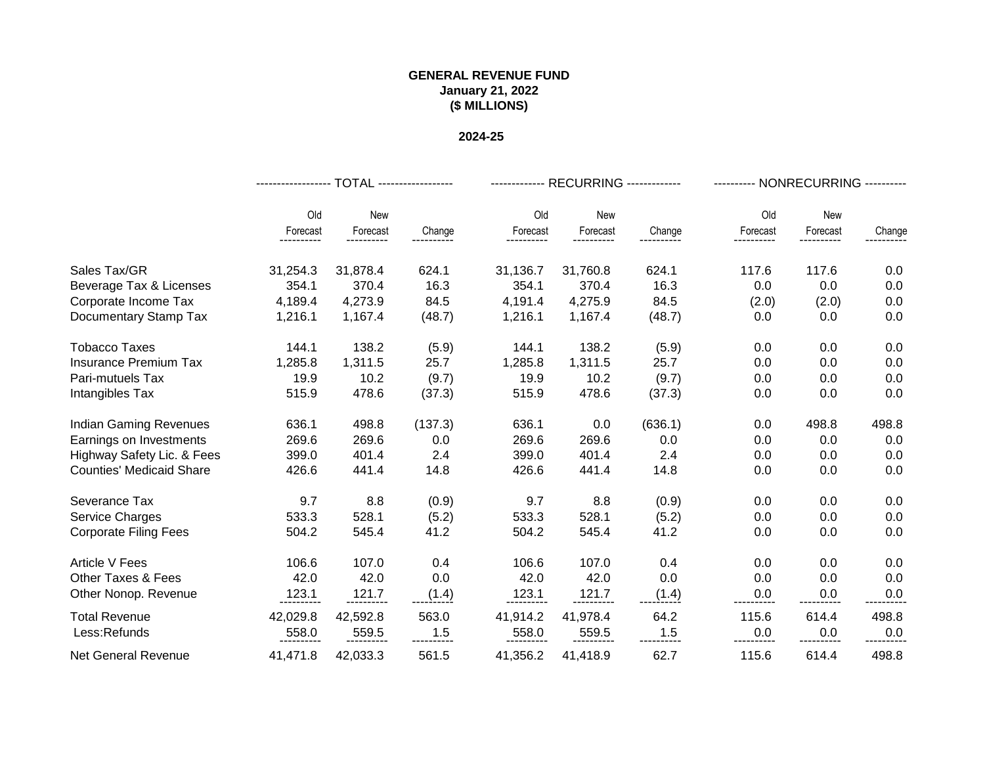|                                 |                      | ------------------ TOTAL ------------------ |         |                   | ------------- RECURRING ------------- |         | --------- NONRECURRING ---------- |          |        |  |
|---------------------------------|----------------------|---------------------------------------------|---------|-------------------|---------------------------------------|---------|-----------------------------------|----------|--------|--|
|                                 | Old                  | New                                         |         | Old               | New                                   |         | Old                               | New      |        |  |
|                                 | Forecast<br>-------- | Forecast                                    | Change  | Forecast          | Forecast                              | Change  | Forecast                          | Forecast | Change |  |
| Sales Tax/GR                    | 31,254.3             | 31,878.4                                    | 624.1   | 31,136.7          | 31,760.8                              | 624.1   | 117.6                             | 117.6    | 0.0    |  |
| Beverage Tax & Licenses         | 354.1                | 370.4                                       | 16.3    | 354.1             | 370.4                                 | 16.3    | 0.0                               | 0.0      | 0.0    |  |
| Corporate Income Tax            | 4,189.4              | 4,273.9                                     | 84.5    | 4,191.4           | 4,275.9                               | 84.5    | (2.0)                             | (2.0)    | 0.0    |  |
| Documentary Stamp Tax           | 1,216.1              | 1,167.4                                     | (48.7)  | 1,216.1           | 1,167.4                               | (48.7)  | 0.0                               | 0.0      | 0.0    |  |
| <b>Tobacco Taxes</b>            | 144.1                | 138.2                                       | (5.9)   | 144.1             | 138.2                                 | (5.9)   | 0.0                               | 0.0      | 0.0    |  |
| <b>Insurance Premium Tax</b>    | 1,285.8              | 1,311.5                                     | 25.7    | 1,285.8           | 1,311.5                               | 25.7    | 0.0                               | 0.0      | 0.0    |  |
| Pari-mutuels Tax                | 19.9                 | 10.2                                        | (9.7)   | 19.9              | 10.2                                  | (9.7)   | 0.0                               | 0.0      | 0.0    |  |
| Intangibles Tax                 | 515.9                | 478.6                                       | (37.3)  | 515.9             | 478.6                                 | (37.3)  | 0.0                               | 0.0      | 0.0    |  |
| <b>Indian Gaming Revenues</b>   | 636.1                | 498.8                                       | (137.3) | 636.1             | 0.0                                   | (636.1) | 0.0                               | 498.8    | 498.8  |  |
| Earnings on Investments         | 269.6                | 269.6                                       | 0.0     | 269.6             | 269.6                                 | 0.0     | 0.0                               | 0.0      | 0.0    |  |
| Highway Safety Lic. & Fees      | 399.0                | 401.4                                       | 2.4     | 399.0             | 401.4                                 | 2.4     | 0.0                               | 0.0      | 0.0    |  |
| <b>Counties' Medicaid Share</b> | 426.6                | 441.4                                       | 14.8    | 426.6             | 441.4                                 | 14.8    | 0.0                               | 0.0      | 0.0    |  |
| Severance Tax                   | 9.7                  | 8.8                                         | (0.9)   | 9.7               | 8.8                                   | (0.9)   | 0.0                               | 0.0      | 0.0    |  |
| Service Charges                 | 533.3                | 528.1                                       | (5.2)   | 533.3             | 528.1                                 | (5.2)   | 0.0                               | 0.0      | 0.0    |  |
| <b>Corporate Filing Fees</b>    | 504.2                | 545.4                                       | 41.2    | 504.2             | 545.4                                 | 41.2    | 0.0                               | 0.0      | 0.0    |  |
| <b>Article V Fees</b>           | 106.6                | 107.0                                       | 0.4     | 106.6             | 107.0                                 | 0.4     | 0.0                               | 0.0      | 0.0    |  |
| <b>Other Taxes &amp; Fees</b>   | 42.0                 | 42.0                                        | 0.0     | 42.0              | 42.0                                  | 0.0     | 0.0                               | 0.0      | 0.0    |  |
| Other Nonop. Revenue            | 123.1                |                                             | (1.4)   | <u>.123.1</u><br> |                                       | (1.4)   | 0.0                               | 0.0      | 0.0    |  |
| <b>Total Revenue</b>            | 42,029.8             | 42,592.8                                    | 563.0   | 41,914.2          | 41,978.4                              | 64.2    | 115.6                             | 614.4    | 498.8  |  |
| Less:Refunds                    | 558.0                | 559.5                                       | 1.5     | 558.0             | 559.5                                 | 1.5     | $0.0\,$                           | 0.0      | 0.0    |  |
| <b>Net General Revenue</b>      | 41,471.8             | 42,033.3                                    | 561.5   | 41,356.2          | 41,418.9                              | 62.7    | 115.6                             | 614.4    | 498.8  |  |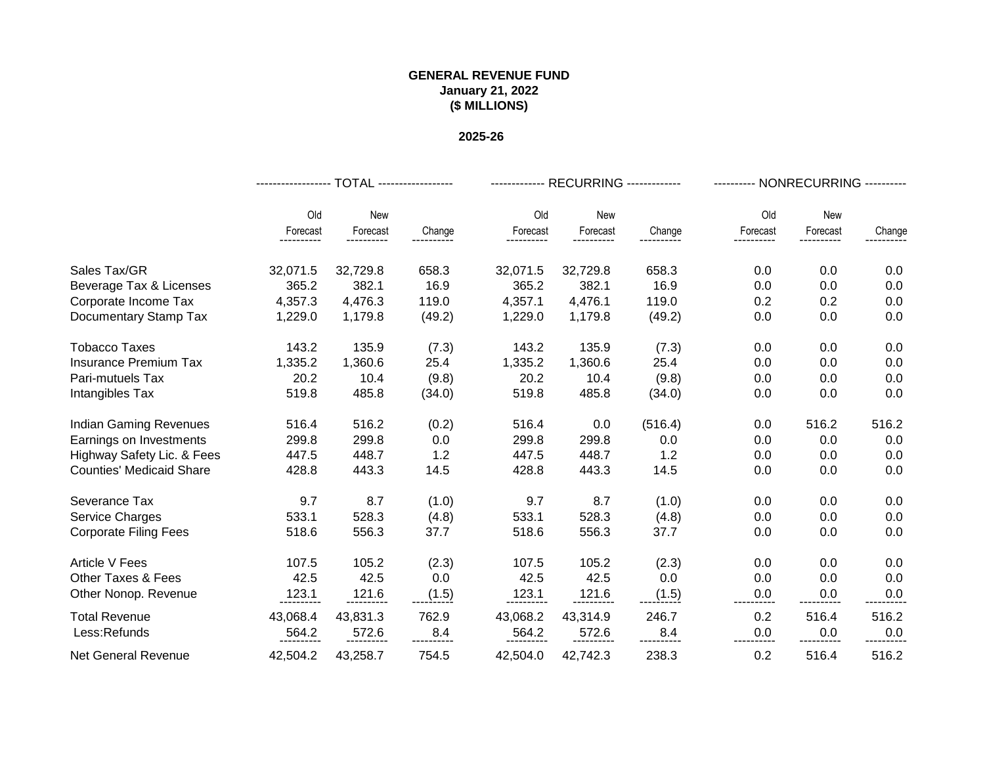|                                 |          | ------------------ TOTAL ------------------ |             |          | ------------- RECURRING ------------- |         | --------- NONRECURRING ---------- |          |        |  |
|---------------------------------|----------|---------------------------------------------|-------------|----------|---------------------------------------|---------|-----------------------------------|----------|--------|--|
|                                 | Old      | New                                         |             | Old      | New                                   |         | Old                               | New      |        |  |
|                                 | Forecast | Forecast                                    | Change      | Forecast | Forecast                              | Change  | Forecast                          | Forecast | Change |  |
| Sales Tax/GR                    | 32,071.5 | 32,729.8                                    | 658.3       | 32,071.5 | 32,729.8                              | 658.3   | 0.0                               | 0.0      | 0.0    |  |
| Beverage Tax & Licenses         | 365.2    | 382.1                                       | 16.9        | 365.2    | 382.1                                 | 16.9    | 0.0                               | 0.0      | 0.0    |  |
| Corporate Income Tax            | 4,357.3  | 4,476.3                                     | 119.0       | 4,357.1  | 4,476.1                               | 119.0   | 0.2                               | 0.2      | 0.0    |  |
| Documentary Stamp Tax           | 1,229.0  | 1,179.8                                     | (49.2)      | 1,229.0  | 1,179.8                               | (49.2)  | 0.0                               | 0.0      | 0.0    |  |
| <b>Tobacco Taxes</b>            | 143.2    | 135.9                                       | (7.3)       | 143.2    | 135.9                                 | (7.3)   | 0.0                               | 0.0      | 0.0    |  |
| <b>Insurance Premium Tax</b>    | 1,335.2  | 1,360.6                                     | 25.4        | 1,335.2  | 1,360.6                               | 25.4    | 0.0                               | 0.0      | 0.0    |  |
| Pari-mutuels Tax                | 20.2     | 10.4                                        | (9.8)       | 20.2     | 10.4                                  | (9.8)   | 0.0                               | 0.0      | 0.0    |  |
| Intangibles Tax                 | 519.8    | 485.8                                       | (34.0)      | 519.8    | 485.8                                 | (34.0)  | 0.0                               | 0.0      | 0.0    |  |
| <b>Indian Gaming Revenues</b>   | 516.4    | 516.2                                       | (0.2)       | 516.4    | 0.0                                   | (516.4) | 0.0                               | 516.2    | 516.2  |  |
| Earnings on Investments         | 299.8    | 299.8                                       | 0.0         | 299.8    | 299.8                                 | 0.0     | 0.0                               | 0.0      | 0.0    |  |
| Highway Safety Lic. & Fees      | 447.5    | 448.7                                       | 1.2         | 447.5    | 448.7                                 | 1.2     | 0.0                               | 0.0      | 0.0    |  |
| <b>Counties' Medicaid Share</b> | 428.8    | 443.3                                       | 14.5        | 428.8    | 443.3                                 | 14.5    | 0.0                               | 0.0      | 0.0    |  |
| Severance Tax                   | 9.7      | 8.7                                         | (1.0)       | 9.7      | 8.7                                   | (1.0)   | 0.0                               | 0.0      | 0.0    |  |
| Service Charges                 | 533.1    | 528.3                                       | (4.8)       | 533.1    | 528.3                                 | (4.8)   | 0.0                               | 0.0      | 0.0    |  |
| <b>Corporate Filing Fees</b>    | 518.6    | 556.3                                       | 37.7        | 518.6    | 556.3                                 | 37.7    | 0.0                               | 0.0      | 0.0    |  |
| <b>Article V Fees</b>           | 107.5    | 105.2                                       | (2.3)       | 107.5    | 105.2                                 | (2.3)   | 0.0                               | 0.0      | 0.0    |  |
| <b>Other Taxes &amp; Fees</b>   | 42.5     | 42.5                                        | 0.0         | 42.5     | 42.5                                  | 0.0     | 0.0                               | 0.0      | 0.0    |  |
| Other Nonop. Revenue            | 123.1    | <u>.121.6</u><br>-----------                | (1.5)       | 123.1    |                                       | (1.5)   | 0.0                               | 0.0      | 0.0    |  |
| <b>Total Revenue</b>            | 43,068.4 | 43,831.3                                    | 762.9       | 43,068.2 | 43,314.9                              | 246.7   | 0.2                               | 516.4    | 516.2  |  |
| Less:Refunds                    | 564.2    | 572.6                                       | ----------- | 564.2    | 572.6                                 | 8.4     | 0.0                               | 0.0      | 0.0    |  |
| <b>Net General Revenue</b>      | 42,504.2 | 43,258.7                                    | 754.5       | 42,504.0 | 42,742.3                              | 238.3   | 0.2                               | 516.4    | 516.2  |  |